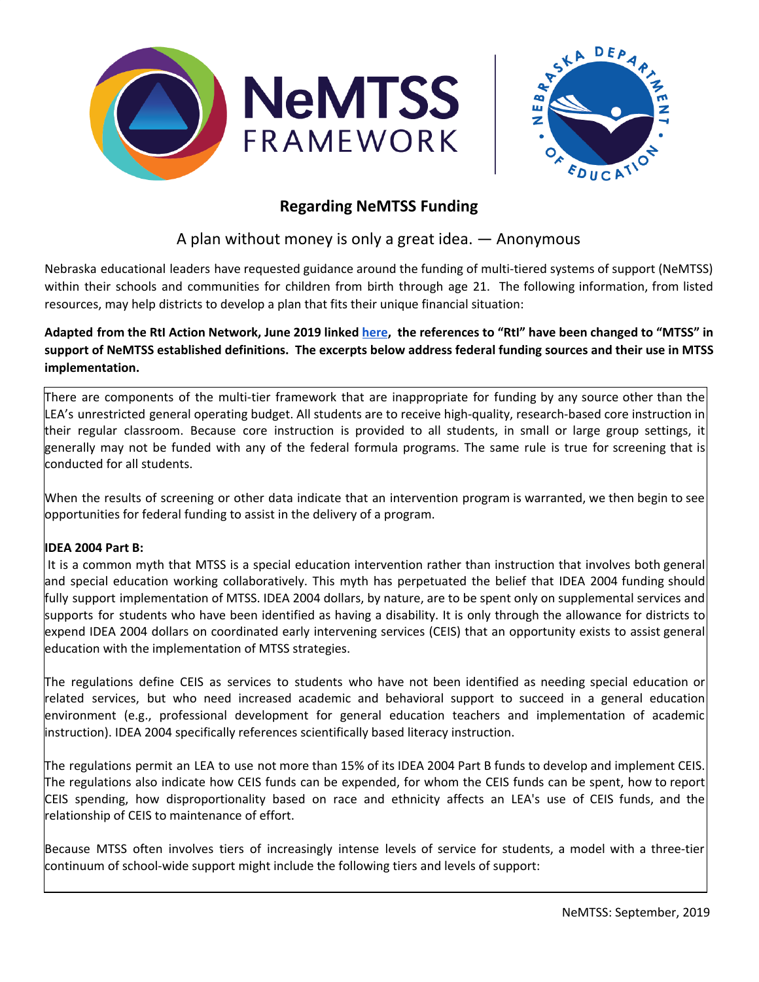



# **Regarding NeMTSS Funding**

A plan without money is only a great idea. — Anonymous

Nebraska educational leaders have requested guidance around the funding of multi-tiered systems of support (NeMTSS) within their schools and communities for children from birth through age 21. The following information, from listed resources, may help districts to develop a plan that fits their unique financial situation:

Adapted from the RtI Action Network, June 2019 linked [here](http://www.rtinetwork.org/getstarted/develop/federal-funding-to-support-rti), the references to "RtI" have been changed to "MTSS" in support of NeMTSS established definitions. The excerpts below address federal funding sources and their use in MTSS **implementation.**

There are components of the multi-tier framework that are inappropriate for funding by any source other than the LEA's unrestricted general operating budget. All students are to receive high-quality, research-based core instruction in their regular classroom. Because core instruction is provided to all students, in small or large group settings, it generally may not be funded with any of the federal formula programs. The same rule is true for screening that is conducted for all students.

When the results of screening or other data indicate that an intervention program is warranted, we then begin to see opportunities for federal funding to assist in the delivery of a program.

## **IDEA 2004 Part B:**

It is a common myth that MTSS is a special education intervention rather than instruction that involves both general and special education working collaboratively. This myth has perpetuated the belief that IDEA 2004 funding should fully support implementation of MTSS. IDEA 2004 dollars, by nature, are to be spent only on supplemental services and supports for students who have been identified as having a disability. It is only through the allowance for districts to expend IDEA 2004 dollars on coordinated early intervening services (CEIS) that an opportunity exists to assist general education with the implementation of MTSS strategies.

The regulations define CEIS as services to students who have not been identified as needing special education or related services, but who need increased academic and behavioral support to succeed in a general education environment (e.g., professional development for general education teachers and implementation of academic instruction). IDEA 2004 specifically references scientifically based literacy instruction.

The regulations permit an LEA to use not more than 15% of its IDEA 2004 Part B funds to develop and implement CEIS. The regulations also indicate how CEIS funds can be expended, for whom the CEIS funds can be spent, how to report CEIS spending, how disproportionality based on race and ethnicity affects an LEA's use of CEIS funds, and the relationship of CEIS to maintenance of effort.

Because MTSS often involves tiers of increasingly intense levels of service for students, a model with a three-tier continuum of school-wide support might include the following tiers and levels of support: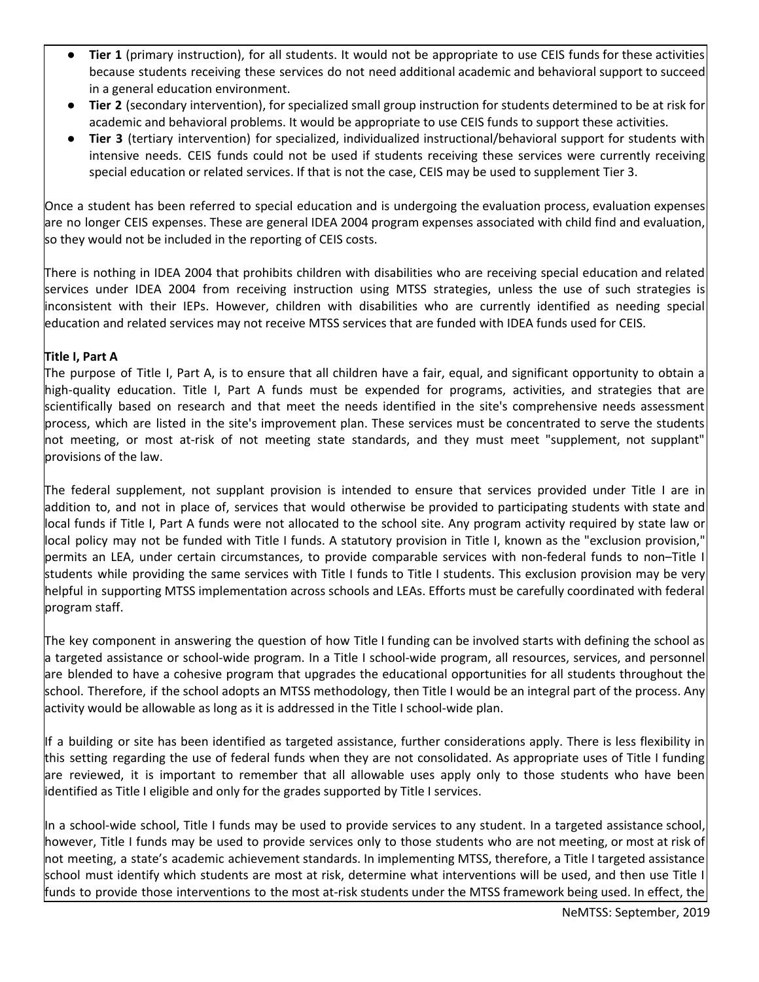- **Tier 1** (primary instruction), for all students. It would not be appropriate to use CEIS funds for these activities because students receiving these services do not need additional academic and behavioral support to succeed in a general education environment.
- Tier 2 (secondary intervention), for specialized small group instruction for students determined to be at risk for academic and behavioral problems. It would be appropriate to use CEIS funds to support these activities.
- **Tier 3** (tertiary intervention) for specialized, individualized instructional/behavioral support for students with intensive needs. CEIS funds could not be used if students receiving these services were currently receiving special education or related services. If that is not the case, CEIS may be used to supplement Tier 3.

Once a student has been referred to special education and is undergoing the evaluation process, evaluation expenses are no longer CEIS expenses. These are general IDEA 2004 program expenses associated with child find and evaluation, so they would not be included in the reporting of CEIS costs.

There is nothing in IDEA 2004 that prohibits children with disabilities who are receiving special education and related services under IDEA 2004 from receiving instruction using MTSS strategies, unless the use of such strategies is inconsistent with their IEPs. However, children with disabilities who are currently identified as needing special education and related services may not receive MTSS services that are funded with IDEA funds used for CEIS.

## **Title I, Part A**

The purpose of Title I, Part A, is to ensure that all children have a fair, equal, and significant opportunity to obtain a high-quality education. Title I, Part A funds must be expended for programs, activities, and strategies that are scientifically based on research and that meet the needs identified in the site's comprehensive needs assessment process, which are listed in the site's improvement plan. These services must be concentrated to serve the students not meeting, or most at-risk of not meeting state standards, and they must meet "supplement, not supplant" provisions of the law.

The federal supplement, not supplant provision is intended to ensure that services provided under Title I are in addition to, and not in place of, services that would otherwise be provided to participating students with state and local funds if Title I, Part A funds were not allocated to the school site. Any program activity required by state law or local policy may not be funded with Title I funds. A statutory provision in Title I, known as the "exclusion provision," permits an LEA, under certain circumstances, to provide comparable services with non-federal funds to non–Title I students while providing the same services with Title I funds to Title I students. This exclusion provision may be very helpful in supporting MTSS implementation across schools and LEAs. Efforts must be carefully coordinated with federal program staff.

The key component in answering the question of how Title I funding can be involved starts with defining the school as a targeted assistance or school-wide program. In a Title I school-wide program, all resources, services, and personnel are blended to have a cohesive program that upgrades the educational opportunities for all students throughout the school. Therefore, if the school adopts an MTSS methodology, then Title I would be an integral part of the process. Any activity would be allowable as long as it is addressed in the Title I school-wide plan.

If a building or site has been identified as targeted assistance, further considerations apply. There is less flexibility in this setting regarding the use of federal funds when they are not consolidated. As appropriate uses of Title I funding are reviewed, it is important to remember that all allowable uses apply only to those students who have been identified as Title I eligible and only for the grades supported by Title I services.

In a school-wide school, Title I funds may be used to provide services to any student. In a targeted assistance school, however, Title I funds may be used to provide services only to those students who are not meeting, or most at risk of not meeting, a state's academic achievement standards. In implementing MTSS, therefore, a Title I targeted assistance school must identify which students are most at risk, determine what interventions will be used, and then use Title I funds to provide those interventions to the most at-risk students under the MTSS framework being used. In effect, the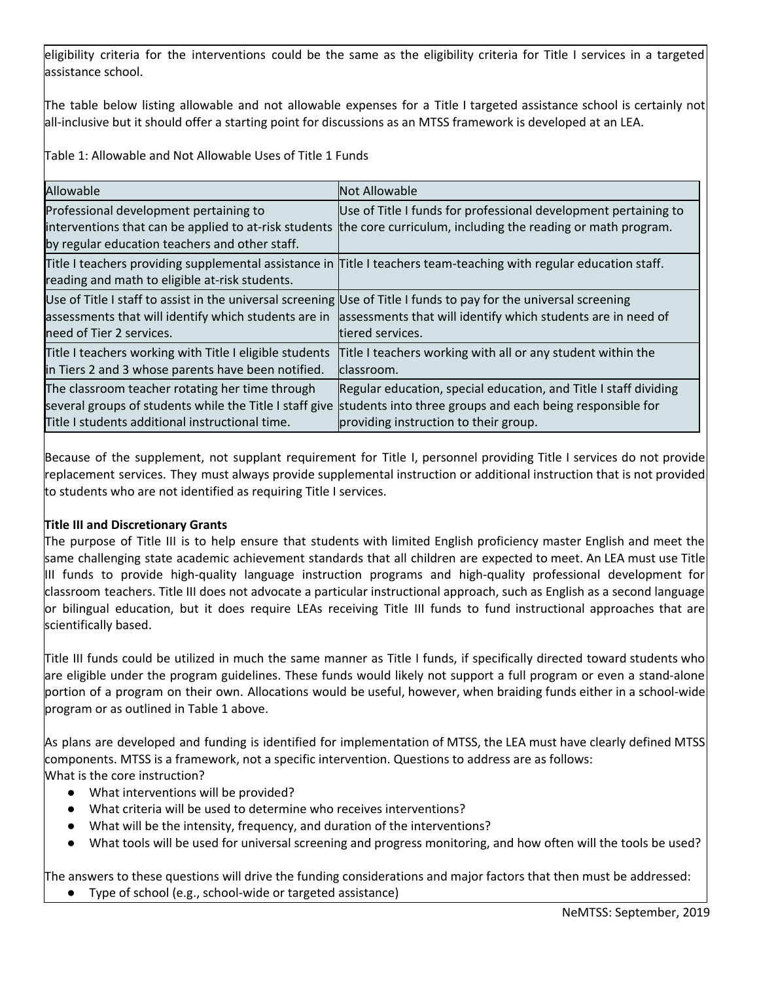eligibility criteria for the interventions could be the same as the eligibility criteria for Title I services in a targeted assistance school.

The table below listing allowable and not allowable expenses for a Title I targeted assistance school is certainly not all-inclusive but it should offer a starting point for discussions as an MTSS framework is developed at an LEA.

Table 1: Allowable and Not Allowable Uses of Title 1 Funds

| Allowable                                                                                                         | Not Allowable                                                                                                      |
|-------------------------------------------------------------------------------------------------------------------|--------------------------------------------------------------------------------------------------------------------|
| Professional development pertaining to                                                                            | Use of Title I funds for professional development pertaining to                                                    |
|                                                                                                                   | interventions that can be applied to at-risk students the core curriculum, including the reading or math program.  |
| by regular education teachers and other staff.                                                                    |                                                                                                                    |
|                                                                                                                   | Title I teachers providing supplemental assistance in Title I teachers team-teaching with regular education staff. |
| reading and math to eligible at-risk students.                                                                    |                                                                                                                    |
| Use of Title I staff to assist in the universal screening Use of Title I funds to pay for the universal screening |                                                                                                                    |
|                                                                                                                   | assessments that will identify which students are in assessments that will identify which students are in need of  |
| need of Tier 2 services.                                                                                          | tiered services.                                                                                                   |
| Title I teachers working with Title I eligible students                                                           | Title I teachers working with all or any student within the                                                        |
| in Tiers 2 and 3 whose parents have been notified.                                                                | classroom.                                                                                                         |
| The classroom teacher rotating her time through                                                                   | Regular education, special education, and Title I staff dividing                                                   |
|                                                                                                                   | several groups of students while the Title I staff give students into three groups and each being responsible for  |
| Title I students additional instructional time.                                                                   | providing instruction to their group.                                                                              |

Because of the supplement, not supplant requirement for Title I, personnel providing Title I services do not provide replacement services. They must always provide supplemental instruction or additional instruction that is not provided to students who are not identified as requiring Title I services.

#### **Title III and Discretionary Grants**

The purpose of Title III is to help ensure that students with limited English proficiency master English and meet the same challenging state academic achievement standards that all children are expected to meet. An LEA must use Title III funds to provide high-quality language instruction programs and high-quality professional development for classroom teachers. Title III does not advocate a particular instructional approach, such as English as a second language or bilingual education, but it does require LEAs receiving Title III funds to fund instructional approaches that are scientifically based.

Title III funds could be utilized in much the same manner as Title I funds, if specifically directed toward students who are eligible under the program guidelines. These funds would likely not support a full program or even a stand-alone portion of a program on their own. Allocations would be useful, however, when braiding funds either in a school-wide program or as outlined in Table 1 above.

As plans are developed and funding is identified for implementation of MTSS, the LEA must have clearly defined MTSS components. MTSS is a framework, not a specific intervention. Questions to address are as follows: What is the core instruction?

- What interventions will be provided?
- What criteria will be used to determine who receives interventions?
- What will be the intensity, frequency, and duration of the interventions?
- What tools will be used for universal screening and progress monitoring, and how often will the tools be used?

The answers to these questions will drive the funding considerations and major factors that then must be addressed:

Type of school (e.g., school-wide or targeted assistance)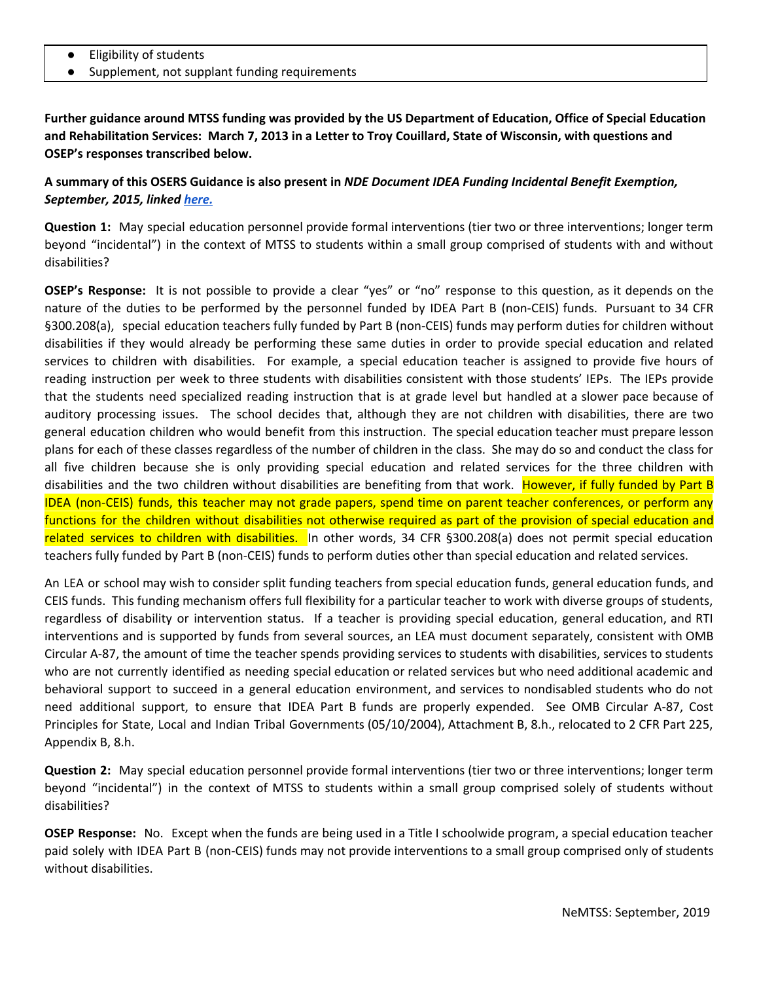- **Eligibility of students**
- Supplement, not supplant funding requirements

Further guidance around MTSS funding was provided by the US Department of Education, Office of Special Education and Rehabilitation Services: March 7, 2013 in a Letter to Troy Couillard, State of Wisconsin, with questions and **OSEP's responses transcribed below.**

## A summary of this OSERS Guidance is also present in NDE Document IDEA Funding Incidental Benefit Exemption, *September, 2015, linked [here.](https://www.education.ne.gov/wp-content/uploads/2017/07/Incidental_Benefit_Exemption_9-11-15.pdf)*

**Question 1:** May special education personnel provide formal interventions (tier two or three interventions; longer term beyond "incidental") in the context of MTSS to students within a small group comprised of students with and without disabilities?

**OSEP's Response:** It is not possible to provide a clear "yes" or "no" response to this question, as it depends on the nature of the duties to be performed by the personnel funded by IDEA Part B (non-CEIS) funds. Pursuant to 34 CFR §300.208(a), special education teachers fully funded by Part B (non-CEIS) funds may perform duties for children without disabilities if they would already be performing these same duties in order to provide special education and related services to children with disabilities. For example, a special education teacher is assigned to provide five hours of reading instruction per week to three students with disabilities consistent with those students' IEPs. The IEPs provide that the students need specialized reading instruction that is at grade level but handled at a slower pace because of auditory processing issues. The school decides that, although they are not children with disabilities, there are two general education children who would benefit from this instruction. The special education teacher must prepare lesson plans for each of these classes regardless of the number of children in the class. She may do so and conduct the class for all five children because she is only providing special education and related services for the three children with disabilities and the two children without disabilities are benefiting from that work. However, if fully funded by Part B IDEA (non-CEIS) funds, this teacher may not grade papers, spend time on parent teacher conferences, or perform any functions for the children without disabilities not otherwise required as part of the provision of special education and related services to children with disabilities. In other words, 34 CFR §300.208(a) does not permit special education teachers fully funded by Part B (non-CEIS) funds to perform duties other than special education and related services.

An LEA or school may wish to consider split funding teachers from special education funds, general education funds, and CEIS funds. This funding mechanism offers full flexibility for a particular teacher to work with diverse groups of students, regardless of disability or intervention status. If a teacher is providing special education, general education, and RTI interventions and is supported by funds from several sources, an LEA must document separately, consistent with OMB Circular A-87, the amount of time the teacher spends providing services to students with disabilities, services to students who are not currently identified as needing special education or related services but who need additional academic and behavioral support to succeed in a general education environment, and services to nondisabled students who do not need additional support, to ensure that IDEA Part B funds are properly expended. See OMB Circular A-87, Cost Principles for State, Local and Indian Tribal Governments (05/10/2004), Attachment B, 8.h., relocated to 2 CFR Part 225, Appendix B, 8.h.

**Question 2:** May special education personnel provide formal interventions (tier two or three interventions; longer term beyond "incidental") in the context of MTSS to students within a small group comprised solely of students without disabilities?

**OSEP Response:** No. Except when the funds are being used in a Title I schoolwide program, a special education teacher paid solely with IDEA Part B (non-CEIS) funds may not provide interventions to a small group comprised only of students without disabilities.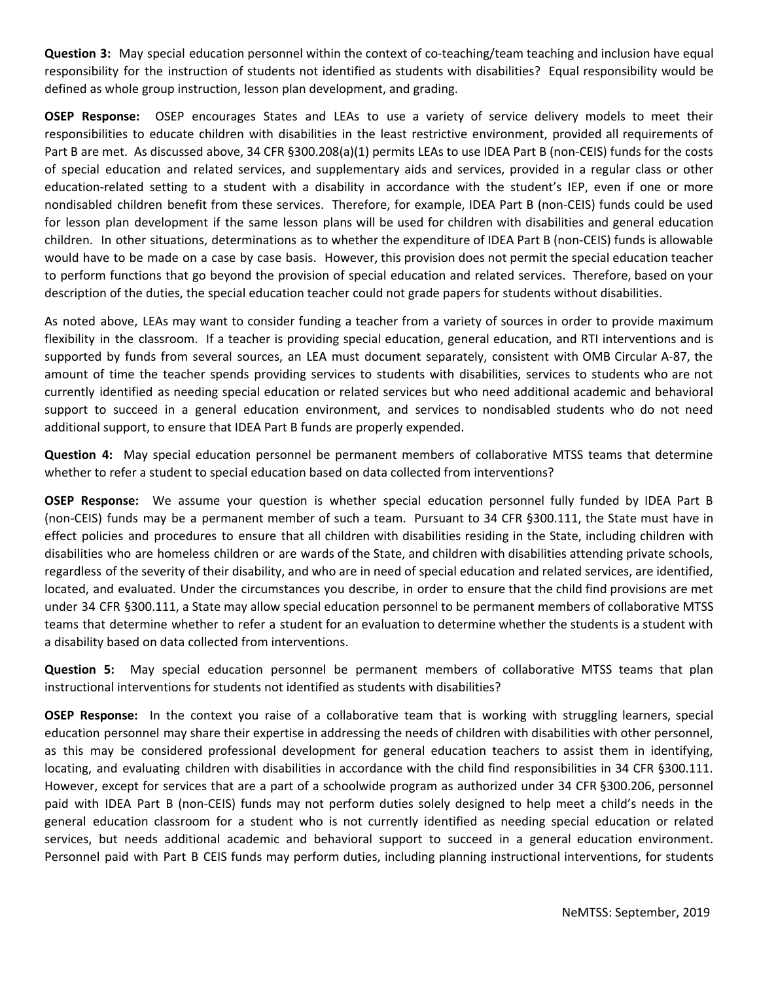**Question 3:** May special education personnel within the context of co-teaching/team teaching and inclusion have equal responsibility for the instruction of students not identified as students with disabilities? Equal responsibility would be defined as whole group instruction, lesson plan development, and grading.

**OSEP Response:** OSEP encourages States and LEAs to use a variety of service delivery models to meet their responsibilities to educate children with disabilities in the least restrictive environment, provided all requirements of Part B are met. As discussed above, 34 CFR §300.208(a)(1) permits LEAs to use IDEA Part B (non-CEIS) funds for the costs of special education and related services, and supplementary aids and services, provided in a regular class or other education-related setting to a student with a disability in accordance with the student's IEP, even if one or more nondisabled children benefit from these services. Therefore, for example, IDEA Part B (non-CEIS) funds could be used for lesson plan development if the same lesson plans will be used for children with disabilities and general education children. In other situations, determinations as to whether the expenditure of IDEA Part B (non-CEIS) funds is allowable would have to be made on a case by case basis. However, this provision does not permit the special education teacher to perform functions that go beyond the provision of special education and related services. Therefore, based on your description of the duties, the special education teacher could not grade papers for students without disabilities.

As noted above, LEAs may want to consider funding a teacher from a variety of sources in order to provide maximum flexibility in the classroom. If a teacher is providing special education, general education, and RTI interventions and is supported by funds from several sources, an LEA must document separately, consistent with OMB Circular A-87, the amount of time the teacher spends providing services to students with disabilities, services to students who are not currently identified as needing special education or related services but who need additional academic and behavioral support to succeed in a general education environment, and services to nondisabled students who do not need additional support, to ensure that IDEA Part B funds are properly expended.

**Question 4:** May special education personnel be permanent members of collaborative MTSS teams that determine whether to refer a student to special education based on data collected from interventions?

**OSEP Response:** We assume your question is whether special education personnel fully funded by IDEA Part B (non-CEIS) funds may be a permanent member of such a team. Pursuant to 34 CFR §300.111, the State must have in effect policies and procedures to ensure that all children with disabilities residing in the State, including children with disabilities who are homeless children or are wards of the State, and children with disabilities attending private schools, regardless of the severity of their disability, and who are in need of special education and related services, are identified, located, and evaluated. Under the circumstances you describe, in order to ensure that the child find provisions are met under 34 CFR §300.111, a State may allow special education personnel to be permanent members of collaborative MTSS teams that determine whether to refer a student for an evaluation to determine whether the students is a student with a disability based on data collected from interventions.

**Question 5:** May special education personnel be permanent members of collaborative MTSS teams that plan instructional interventions for students not identified as students with disabilities?

**OSEP Response:** In the context you raise of a collaborative team that is working with struggling learners, special education personnel may share their expertise in addressing the needs of children with disabilities with other personnel, as this may be considered professional development for general education teachers to assist them in identifying, locating, and evaluating children with disabilities in accordance with the child find responsibilities in 34 CFR §300.111. However, except for services that are a part of a schoolwide program as authorized under 34 CFR §300.206, personnel paid with IDEA Part B (non-CEIS) funds may not perform duties solely designed to help meet a child's needs in the general education classroom for a student who is not currently identified as needing special education or related services, but needs additional academic and behavioral support to succeed in a general education environment. Personnel paid with Part B CEIS funds may perform duties, including planning instructional interventions, for students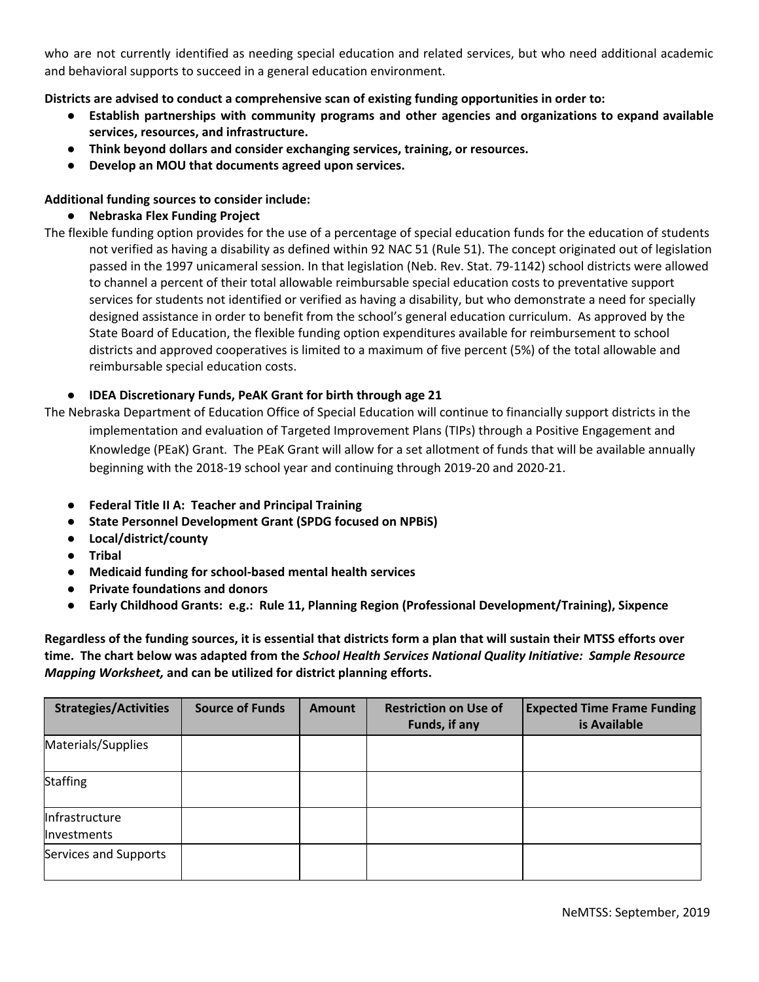who are not currently identified as needing special education and related services, but who need additional academic and behavioral supports to succeed in a general education environment.

**Districts are advised to conduct a comprehensive scan of existing funding opportunities in order to:**

- **● Establish partnerships with community programs and other agencies and organizations to expand available services, resources, and infrastructure.**
- **● Think beyond dollars and consider exchanging services, training, or resources.**
- **● Develop an MOU that documents agreed upon services.**

## **Additional funding sources to consider include:**

#### **● Nebraska Flex Funding Project**

The flexible funding option provides for the use of a percentage of special education funds for the education of students not verified as having a disability as defined within 92 NAC 51 (Rule 51). The concept originated out of legislation passed in the 1997 unicameral session. In that legislation (Neb. Rev. Stat. 79-1142) school districts were allowed to channel a percent of their total allowable reimbursable special education costs to preventative support services for students not identified or verified as having a disability, but who demonstrate a need for specially designed assistance in order to benefit from the school's general education curriculum. As approved by the State Board of Education, the flexible funding option expenditures available for reimbursement to school districts and approved cooperatives is limited to a maximum of five percent (5%) of the total allowable and reimbursable special education costs.

## **● IDEA Discretionary Funds, PeAK Grant for birth through age 21**

The Nebraska Department of Education Office of Special Education will continue to financially support districts in the implementation and evaluation of Targeted Improvement Plans (TIPs) through a Positive Engagement and Knowledge (PEaK) Grant. The PEaK Grant will allow for a set allotment of funds that will be available annually beginning with the 2018-19 school year and continuing through 2019-20 and 2020-21.

- **● Federal Title II A: Teacher and Principal Training**
- **● State Personnel Development Grant (SPDG focused on NPBiS)**
- **● Local/district/county**
- **● Tribal**
- **● Medicaid funding for school-based mental health services**
- **● Private foundations and donors**
- **● Early Childhood Grants: e.g.: Rule 11, Planning Region (Professional Development/Training), Sixpence**

Regardless of the funding sources, it is essential that districts form a plan that will sustain their MTSS efforts over **time. The chart below was adapted from the** *School Health Services National Quality Initiative: Sample Resource Mapping Worksheet,* **and can be utilized for district planning efforts.**

| <b>Strategies/Activities</b>  | <b>Source of Funds</b> | <b>Amount</b> | <b>Restriction on Use of</b><br>Funds, if any | <b>Expected Time Frame Funding</b><br>is Available |
|-------------------------------|------------------------|---------------|-----------------------------------------------|----------------------------------------------------|
| Materials/Supplies            |                        |               |                                               |                                                    |
| <b>Staffing</b>               |                        |               |                                               |                                                    |
| Infrastructure<br>Investments |                        |               |                                               |                                                    |
| Services and Supports         |                        |               |                                               |                                                    |